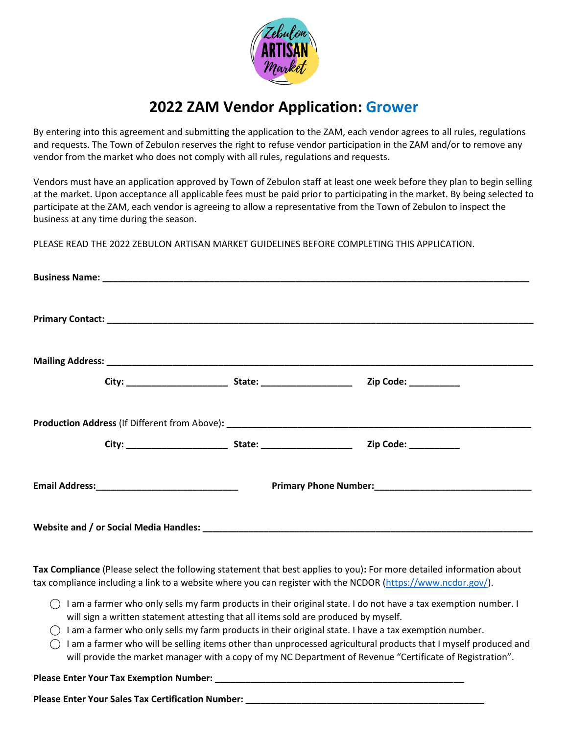

# **2022 ZAM Vendor Application: Grower**

By entering into this agreement and submitting the application to the ZAM, each vendor agrees to all rules, regulations and requests. The Town of Zebulon reserves the right to refuse vendor participation in the ZAM and/or to remove any vendor from the market who does not comply with all rules, regulations and requests.

Vendors must have an application approved by Town of Zebulon staff at least one week before they plan to begin selling at the market. Upon acceptance all applicable fees must be paid prior to participating in the market. By being selected to participate at the ZAM, each vendor is agreeing to allow a representative from the Town of Zebulon to inspect the business at any time during the season.

PLEASE READ THE 2022 ZEBULON ARTISAN MARKET GUIDELINES BEFORE COMPLETING THIS APPLICATION.

| Website and / or Social Media Handles: |  |  |
|----------------------------------------|--|--|

**Tax Compliance** (Please select the following statement that best applies to you)**:** For more detailed information about tax compliance including a link to a website where you can register with the NCDOR [\(https://www.ncdor.gov/\)](https://www.ncdor.gov/).

- $\bigcap$  I am a farmer who only sells my farm products in their original state. I do not have a tax exemption number. I will sign a written statement attesting that all items sold are produced by myself.
- ⃝ I am a farmer who only sells my farm products in their original state. I have a tax exemption number.
- $\bigcirc$  I am a farmer who will be selling items other than unprocessed agricultural products that I myself produced and will provide the market manager with a copy of my NC Department of Revenue "Certificate of Registration".

Please Enter Your Tax Exemption Number:

Please Enter Your Sales Tax Certification Number: **We are also also also also also also also**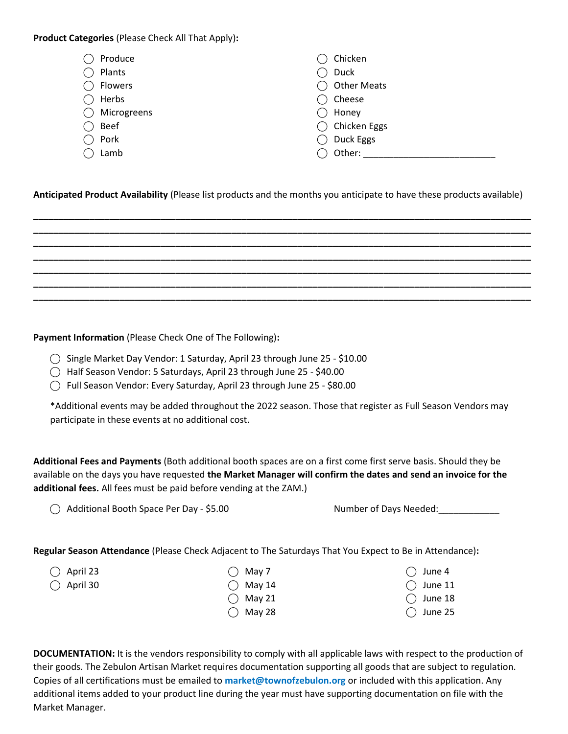**Product Categories** (Please Check All That Apply)**:** 

| Produce     | Chicken              |
|-------------|----------------------|
| Plants      | Duck                 |
| Flowers     | <b>Other Meats</b>   |
| Herbs       | Cheese               |
| Microgreens | Honey                |
| <b>Beef</b> | ◯ Chicken Eggs       |
| Pork        | Duck Eggs<br>$($ $)$ |
| Lamb        | Other:               |

## **Anticipated Product Availability** (Please list products and the months you anticipate to have these products available)

**\_\_\_\_\_\_\_\_\_\_\_\_\_\_\_\_\_\_\_\_\_\_\_\_\_\_\_\_\_\_\_\_\_\_\_\_\_\_\_\_\_\_\_\_\_\_\_\_\_\_\_\_\_\_\_\_\_\_\_\_\_\_\_\_\_\_\_\_\_\_\_\_\_\_\_\_\_\_\_\_\_\_\_\_\_\_\_\_\_\_\_\_\_\_\_\_\_\_ \_\_\_\_\_\_\_\_\_\_\_\_\_\_\_\_\_\_\_\_\_\_\_\_\_\_\_\_\_\_\_\_\_\_\_\_\_\_\_\_\_\_\_\_\_\_\_\_\_\_\_\_\_\_\_\_\_\_\_\_\_\_\_\_\_\_\_\_\_\_\_\_\_\_\_\_\_\_\_\_\_\_\_\_\_\_\_\_\_\_\_\_\_\_\_\_\_\_ \_\_\_\_\_\_\_\_\_\_\_\_\_\_\_\_\_\_\_\_\_\_\_\_\_\_\_\_\_\_\_\_\_\_\_\_\_\_\_\_\_\_\_\_\_\_\_\_\_\_\_\_\_\_\_\_\_\_\_\_\_\_\_\_\_\_\_\_\_\_\_\_\_\_\_\_\_\_\_\_\_\_\_\_\_\_\_\_\_\_\_\_\_\_\_\_\_\_ \_\_\_\_\_\_\_\_\_\_\_\_\_\_\_\_\_\_\_\_\_\_\_\_\_\_\_\_\_\_\_\_\_\_\_\_\_\_\_\_\_\_\_\_\_\_\_\_\_\_\_\_\_\_\_\_\_\_\_\_\_\_\_\_\_\_\_\_\_\_\_\_\_\_\_\_\_\_\_\_\_\_\_\_\_\_\_\_\_\_\_\_\_\_\_\_\_\_ \_\_\_\_\_\_\_\_\_\_\_\_\_\_\_\_\_\_\_\_\_\_\_\_\_\_\_\_\_\_\_\_\_\_\_\_\_\_\_\_\_\_\_\_\_\_\_\_\_\_\_\_\_\_\_\_\_\_\_\_\_\_\_\_\_\_\_\_\_\_\_\_\_\_\_\_\_\_\_\_\_\_\_\_\_\_\_\_\_\_\_\_\_\_\_\_\_\_ \_\_\_\_\_\_\_\_\_\_\_\_\_\_\_\_\_\_\_\_\_\_\_\_\_\_\_\_\_\_\_\_\_\_\_\_\_\_\_\_\_\_\_\_\_\_\_\_\_\_\_\_\_\_\_\_\_\_\_\_\_\_\_\_\_\_\_\_\_\_\_\_\_\_\_\_\_\_\_\_\_\_\_\_\_\_\_\_\_\_\_\_\_\_\_\_\_\_ \_\_\_\_\_\_\_\_\_\_\_\_\_\_\_\_\_\_\_\_\_\_\_\_\_\_\_\_\_\_\_\_\_\_\_\_\_\_\_\_\_\_\_\_\_\_\_\_\_\_\_\_\_\_\_\_\_\_\_\_\_\_\_\_\_\_\_\_\_\_\_\_\_\_\_\_\_\_\_\_\_\_\_\_\_\_\_\_\_\_\_\_\_\_\_\_\_\_**

**Payment Information** (Please Check One of The Following)**:**

- ⃝ Single Market Day Vendor: 1 Saturday, April 23 through June 25 \$10.00
- ⃝ Half Season Vendor: 5 Saturdays, April 23 through June 25 \$40.00
- ⃝ Full Season Vendor: Every Saturday, April 23 through June 25 \$80.00

\*Additional events may be added throughout the 2022 season. Those that register as Full Season Vendors may participate in these events at no additional cost.

**Additional Fees and Payments** (Both additional booth spaces are on a first come first serve basis. Should they be available on the days you have requested **the Market Manager will confirm the dates and send an invoice for the additional fees.** All fees must be paid before vending at the ZAM.)

⃝ Additional Booth Space Per Day - \$5.00 Number of Days Needed:\_\_\_\_\_\_\_\_\_\_\_\_

**Regular Season Attendance** (Please Check Adjacent to The Saturdays That You Expect to Be in Attendance)**:**

 $\bigcap$  April 23

 $\bigcap$  April 30

- $\bigcap$  May 7
	- $\bigcirc$  May 14  $\bigcirc$  May 21
	- $\bigcirc$  May 28

 $\bigcap$  June 11  $\bigcap$  June 18  $\bigcap$  June 25

 $\bigcap$  June 4

**DOCUMENTATION:** It is the vendors responsibility to comply with all applicable laws with respect to the production of their goods. The Zebulon Artisan Market requires documentation supporting all goods that are subject to regulation. Copies of all certifications must be emailed to **market@townofzebulon.org** or included with this application. Any additional items added to your product line during the year must have supporting documentation on file with the Market Manager.